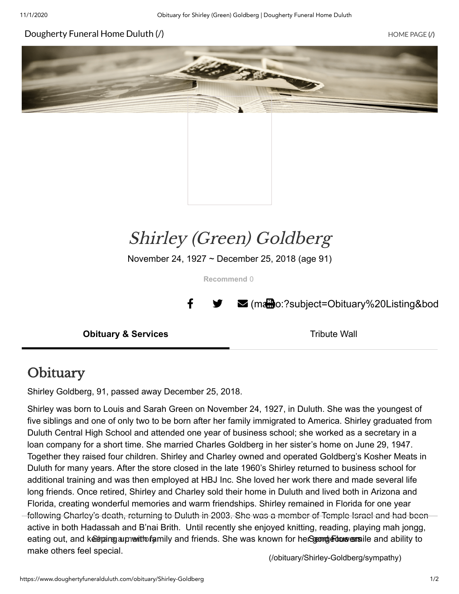#### [Dougherty](https://www.doughertyfuneralduluth.com/) Funeral Home Duluth (/) and the state of the state of the state of the state (/) home page (/)





# Shirley (Green) Goldberg

November 24, 1927 ~ December 25, 2018 (age 91)

**Recommend** 0

 $\parallel$   $\blacktriangleright$   $\blacktriangleright$  (matther)?subject=Obituary%20Listing&bod

**Obituary & Services** Tribute Wall

### **Obituary**

Shirley Goldberg, 91, passed away December 25, 2018.

Shirley was born to Louis and Sarah Green on November 24, 1927, in Duluth. She was the youngest of five siblings and one of only two to be born after her family immigrated to America. Shirley graduated from Duluth Central High School and attended one year of business school; she worked as a secretary in a loan company for a short time. She married Charles Goldberg in her sister's home on June 29, 1947. Together they raised four children. Shirley and Charley owned and operated Goldberg's Kosher Meats in Duluth for many years. After the store closed in the late 1960's Shirley returned to business school for additional training and was then employed at HBJ Inc. She loved her work there and made several life long friends. Once retired, Shirley and Charley sold their home in Duluth and lived both in Arizona and Florida, creating wonderful memories and warm friendships. Shirley remained in Florida for one year following Charley's death, returning to Duluth in 2003. She was a member of Temple Israel and had been active in both Hadassah and B'nai Brith. Until recently she enjoyed knitting, reading, playing mah jongg, eating out, and keetpaing aupnerittofamily and friends. She was known for herSgeondge-bous cansile and ability to make others feel special.

[\(/obituary/Shirley-Goldberg/sympathy\)](https://www.doughertyfuneralduluth.com/obituary/Shirley-Goldberg/sympathy)